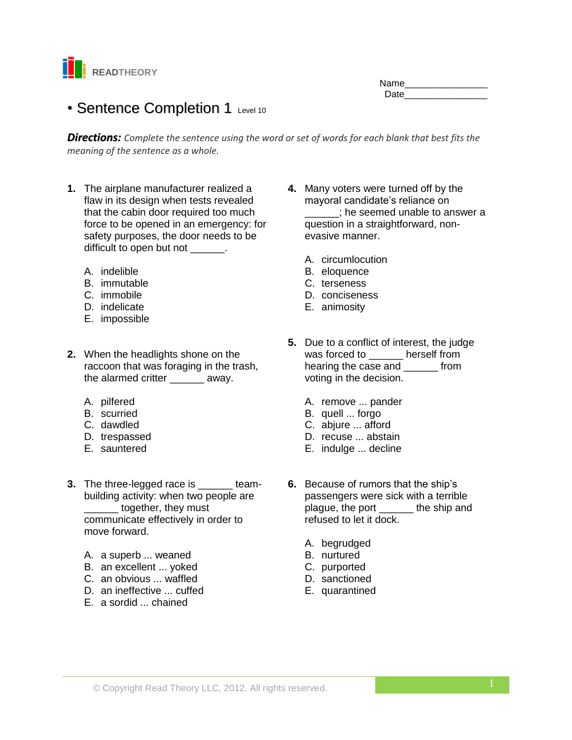

| Name |  |
|------|--|
| Date |  |
|      |  |

# • Sentence Completion 1 Level 10

*Directions: Complete the sentence using the word or set of words for each blank that best fits the meaning of the sentence as a whole.*

- **1.** The airplane manufacturer realized a flaw in its design when tests revealed that the cabin door required too much force to be opened in an emergency: for safety purposes, the door needs to be difficult to open but not  $\qquad \qquad$ .
	- A. indelible
	- B. immutable
	- C. immobile
	- D. indelicate
	- E. impossible
- **2.** When the headlights shone on the raccoon that was foraging in the trash, the alarmed critter \_\_\_\_\_\_ away.
	- A. pilfered
	- B. scurried
	- C. dawdled
	- D. trespassed
	- E. sauntered
- **3.** The three-legged race is \_\_\_\_\_\_ teambuilding activity: when two people are \_\_\_\_\_\_ together, they must communicate effectively in order to move forward.
	- A. a superb ... weaned
	- B. an excellent ... yoked
	- C. an obvious ... waffled
	- D. an ineffective ... cuffed
	- E. a sordid ... chained
- **4.** Many voters were turned off by the mayoral candidate's reliance on \_\_\_\_\_; he seemed unable to answer a question in a straightforward, nonevasive manner.
	- A. circumlocution
	- B. eloquence
	- C. terseness
	- D. conciseness
	- E. animosity
- **5.** Due to a conflict of interest, the judge was forced to \_\_\_\_\_\_ herself from hearing the case and from voting in the decision.
	- A. remove ... pander
	- B. quell ... forgo
	- C. abjure ... afford
	- D. recuse ... abstain
	- E. indulge ... decline
- **6.** Because of rumors that the ship's passengers were sick with a terrible plague, the port \_\_\_\_\_\_ the ship and refused to let it dock.
	- A. begrudged
	- B. nurtured
	- C. purported
	- D. sanctioned
	- E. quarantined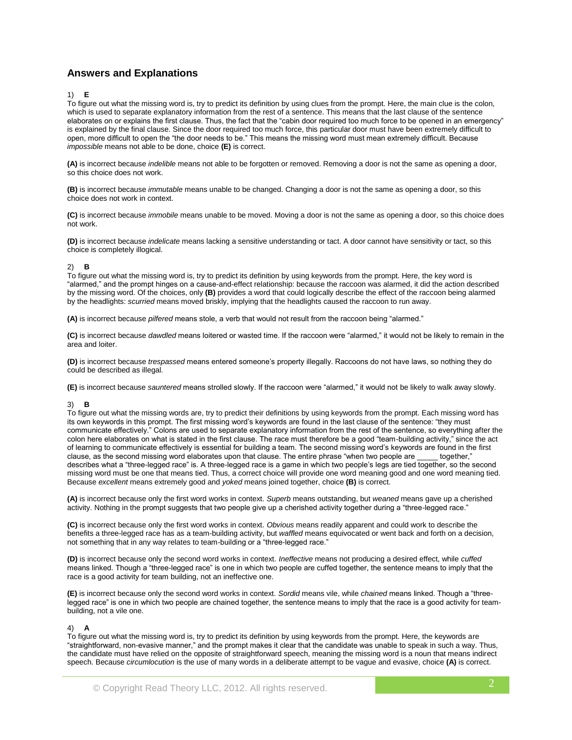# **Answers and Explanations**

## 1) **E**

To figure out what the missing word is, try to predict its definition by using clues from the prompt. Here, the main clue is the colon, which is used to separate explanatory information from the rest of a sentence. This means that the last clause of the sentence elaborates on or explains the first clause. Thus, the fact that the "cabin door required too much force to be opened in an emergency" is explained by the final clause. Since the door required too much force, this particular door must have been extremely difficult to open, more difficult to open the "the door needs to be." This means the missing word must mean extremely difficult. Because *impossible* means not able to be done, choice **(E)** is correct.

**(A)** is incorrect because *indelible* means not able to be forgotten or removed. Removing a door is not the same as opening a door, so this choice does not work.

**(B)** is incorrect because *immutable* means unable to be changed. Changing a door is not the same as opening a door, so this choice does not work in context.

**(C)** is incorrect because *immobile* means unable to be moved. Moving a door is not the same as opening a door, so this choice does not work.

**(D)** is incorrect because *indelicate* means lacking a sensitive understanding or tact. A door cannot have sensitivity or tact, so this choice is completely illogical.

## 2) **B**

To figure out what the missing word is, try to predict its definition by using keywords from the prompt. Here, the key word is "alarmed," and the prompt hinges on a cause-and-effect relationship: because the raccoon was alarmed, it did the action described by the missing word. Of the choices, only **(B)** provides a word that could logically describe the effect of the raccoon being alarmed by the headlights: *scurried* means moved briskly, implying that the headlights caused the raccoon to run away.

**(A)** is incorrect because *pilfered* means stole, a verb that would not result from the raccoon being "alarmed."

**(C)** is incorrect because *dawdled* means loitered or wasted time. If the raccoon were "alarmed," it would not be likely to remain in the area and loiter.

**(D)** is incorrect because *trespassed* means entered someone's property illegally. Raccoons do not have laws, so nothing they do could be described as illegal.

**(E)** is incorrect because *sauntered* means strolled slowly. If the raccoon were "alarmed," it would not be likely to walk away slowly.

#### 3) **B**

To figure out what the missing words are, try to predict their definitions by using keywords from the prompt. Each missing word has its own keywords in this prompt. The first missing word's keywords are found in the last clause of the sentence: "they must communicate effectively." Colons are used to separate explanatory information from the rest of the sentence, so everything after the colon here elaborates on what is stated in the first clause. The race must therefore be a good "team-building activity," since the act of learning to communicate effectively is essential for building a team. The second missing word's keywords are found in the first clause, as the second missing word elaborates upon that clause. The entire phrase "when two people are together," describes what a "three-legged race" is. A three-legged race is a game in which two people's legs are tied together, so the second missing word must be one that means tied. Thus, a correct choice will provide one word meaning good and one word meaning tied. Because *excellent* means extremely good and *yoked* means joined together, choice **(B)** is correct.

**(A)** is incorrect because only the first word works in context. *Superb* means outstanding, but *weaned* means gave up a cherished activity. Nothing in the prompt suggests that two people give up a cherished activity together during a "three-legged race."

**(C)** is incorrect because only the first word works in context. *Obvious* means readily apparent and could work to describe the benefits a three-legged race has as a team-building activity, but *waffled* means equivocated or went back and forth on a decision, not something that in any way relates to team-building or a "three-legged race."

**(D)** is incorrect because only the second word works in context. *Ineffective* means not producing a desired effect, while *cuffed*  means linked. Though a "three-legged race" is one in which two people are cuffed together, the sentence means to imply that the race is a good activity for team building, not an ineffective one.

**(E)** is incorrect because only the second word works in context. *Sordid* means vile, while *chained* means linked. Though a "threelegged race" is one in which two people are chained together, the sentence means to imply that the race is a good activity for teambuilding, not a vile one.

#### 4) **A**

To figure out what the missing word is, try to predict its definition by using keywords from the prompt. Here, the keywords are "straightforward, non-evasive manner," and the prompt makes it clear that the candidate was unable to speak in such a way. Thus, the candidate must have relied on the opposite of straightforward speech, meaning the missing word is a noun that means indirect speech. Because *circumlocution* is the use of many words in a deliberate attempt to be vague and evasive, choice **(A)** is correct.